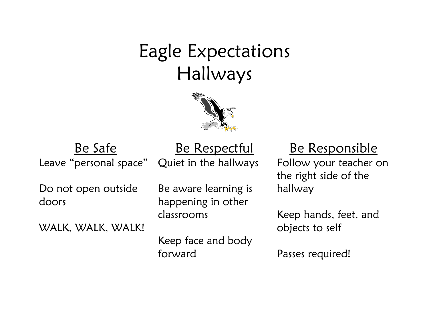## Eagle Expectations Hallways



Leave "personal space"

Be Safe Be Respectful Be Responsible Quiet in the hallways

Do not open outside doors

WALK, WALK, WALK!

Be aware learning is happening in other classrooms

Keep face and body forward

Follow your teacher on the right side of the hallway

Keep hands, feet, and objects to self

Passes required!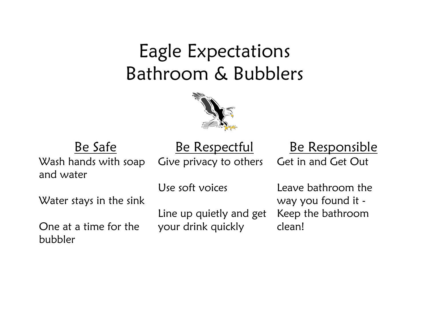## Eagle Expectations Bathroom & Bubblers



Wash hands with soap and water

Give privacy to others

Be Safe Be Respectful Be Responsible Get in and Get Out

Water stays in the sink

One at a time for the bubbler

Use soft voices

Line up quietly and get your drink quickly

Leave bathroom the way you found it - Keep the bathroom clean!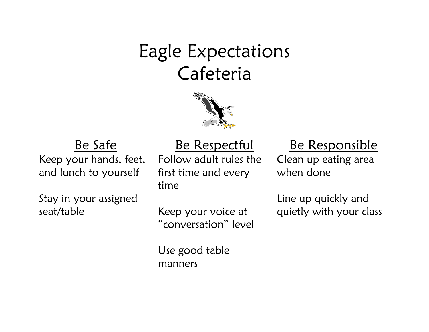## Eagle Expectations Cafeteria



Keep your hands, feet, and lunch to yourself

Stay in your assigned seat/table

Follow adult rules the first time and every time

### Be Safe Be Respectful Be Responsible

Clean up eating area when done

Line up quickly and quietly with your class

Keep your voice at "conversation" level

Use good table manners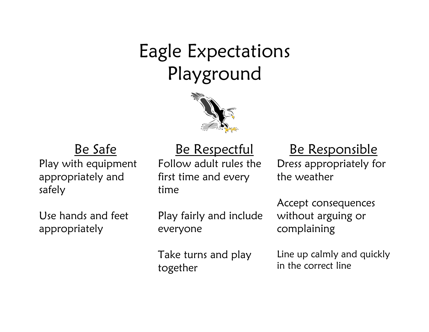# Eagle Expectations Playground



Play with equipment appropriately and safely

Use hands and feet appropriately

Follow adult rules the first time and every time

Be Safe Be Respectful Be Responsible

Dress appropriately for the weather

Play fairly and include everyone

Take turns and play together

Accept consequences without arguing or complaining

Line up calmly and quickly in the correct line